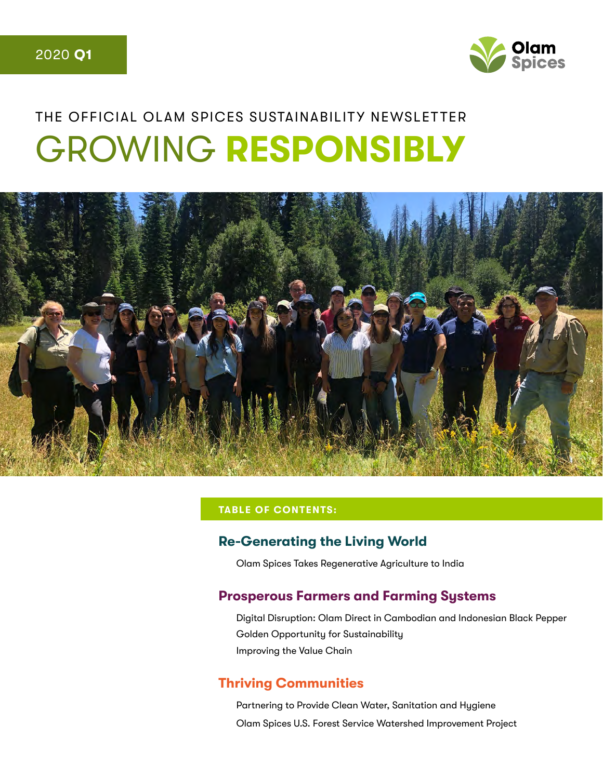

# THE OFFICIAL OLAM SPICES SUSTAINABILITY NEWSLETTER GROWING **RESPONSIBLY**



#### **TABLE OF CONTENTS:**

#### **Re-Generating the Living World**

Olam Spices Takes Regenerative Agriculture to India

### **Prosperous Farmers and Farming Systems**

Digital Disruption: Olam Direct in Cambodian and Indonesian Black Pepper Golden Opportunity for Sustainability Improving the Value Chain

#### **Thriving Communities**

Partnering to Provide Clean Water, Sanitation and Hygiene Olam Spices U.S. Forest Service Watershed Improvement Project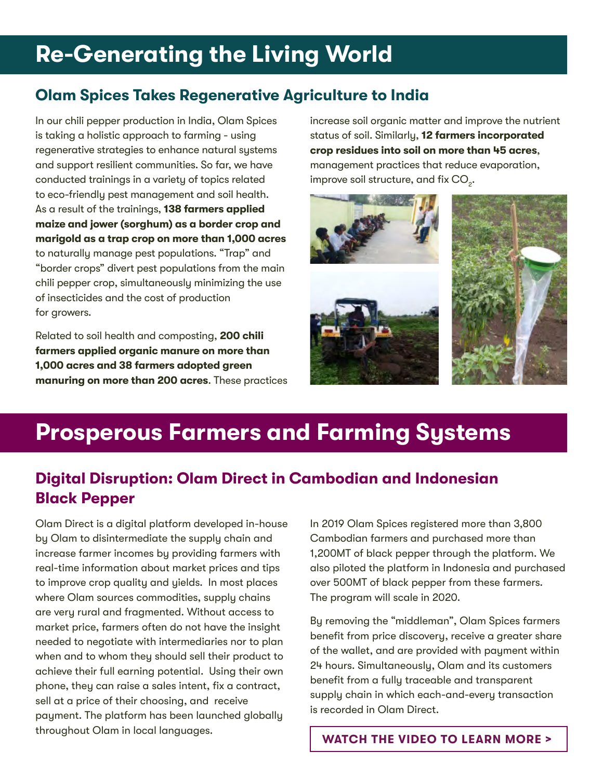## **Re-Generating the Living World**

### **Olam Spices Takes Regenerative Agriculture to India**

In our chili pepper production in India, Olam Spices is taking a holistic approach to farming - using regenerative strategies to enhance natural systems and support resilient communities. So far, we have conducted trainings in a variety of topics related to eco-friendly pest management and soil health. As a result of the trainings, **138 farmers applied maize and jower (sorghum) as a border crop and marigold as a trap crop on more than 1,000 acres** to naturally manage pest populations. "Trap" and "border crops" divert pest populations from the main chili pepper crop, simultaneously minimizing the use of insecticides and the cost of production for growers.

Related to soil health and composting, **200 chili farmers applied organic manure on more than 1,000 acres and 38 farmers adopted green manuring on more than 200 acres**. These practices increase soil organic matter and improve the nutrient status of soil. Similarly, **12 farmers incorporated crop residues into soil on more than 45 acres**, management practices that reduce evaporation, improve soil structure, and fix  $\mathrm{CO}_2^+$ .



## **Prosperous Farmers and Farming Systems**

### **Digital Disruption: Olam Direct in Cambodian and Indonesian Black Pepper**

Olam Direct is a digital platform developed in-house by Olam to disintermediate the supply chain and increase farmer incomes by providing farmers with real-time information about market prices and tips to improve crop quality and yields. In most places where Olam sources commodities, supply chains are very rural and fragmented. Without access to market price, farmers often do not have the insight needed to negotiate with intermediaries nor to plan when and to whom they should sell their product to achieve their full earning potential. Using their own phone, they can raise a sales intent, fix a contract, sell at a price of their choosing, and receive payment. The platform has been launched globally throughout Olam in local languages.

In 2019 Olam Spices registered more than 3,800 Cambodian farmers and purchased more than 1,200MT of black pepper through the platform. We also piloted the platform in Indonesia and purchased over 500MT of black pepper from these farmers. The program will scale in 2020.

By removing the "middleman", Olam Spices farmers benefit from price discovery, receive a greater share of the wallet, and are provided with payment within 24 hours. Simultaneously, Olam and its customers benefit from a fully traceable and transparent supply chain in which each-and-every transaction is recorded in Olam Direct.

**[WATCH THE VIDEO TO LEARN MORE >](https://www.youtube.com/watch?v=JyTVdStp3-k&feature=youtu.be)**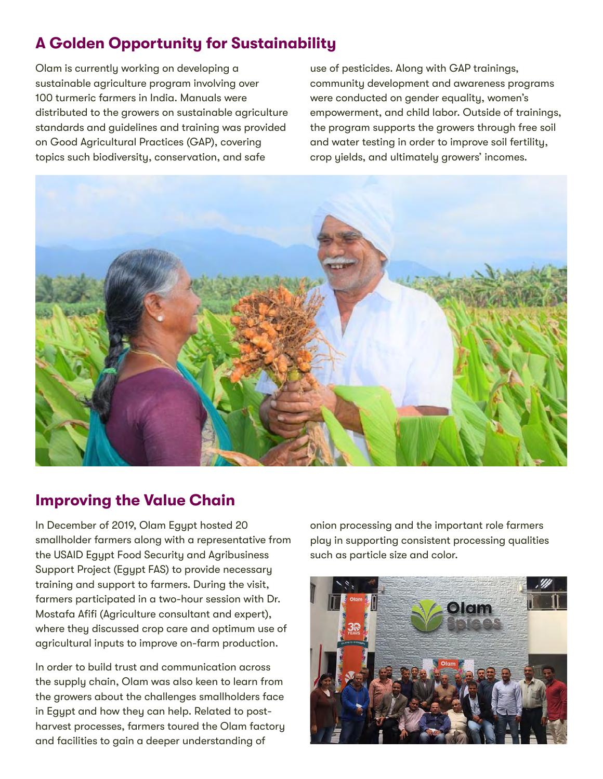## **A Golden Opportunity for Sustainability**

Olam is currently working on developing a sustainable agriculture program involving over 100 turmeric farmers in India. Manuals were distributed to the growers on sustainable agriculture standards and guidelines and training was provided on Good Agricultural Practices (GAP), covering topics such biodiversity, conservation, and safe

use of pesticides. Along with GAP trainings, community development and awareness programs were conducted on gender equality, women's empowerment, and child labor. Outside of trainings, the program supports the growers through free soil and water testing in order to improve soil fertility, crop yields, and ultimately growers' incomes.



### **Improving the Value Chain**

In December of 2019, Olam Egypt hosted 20 smallholder farmers along with a representative from the USAID Egypt Food Security and Agribusiness Support Project (Egypt FAS) to provide necessary training and support to farmers. During the visit, farmers participated in a two-hour session with Dr. Mostafa Afifi (Agriculture consultant and expert), where they discussed crop care and optimum use of agricultural inputs to improve on-farm production.

In order to build trust and communication across the supply chain, Olam was also keen to learn from the growers about the challenges smallholders face in Egypt and how they can help. Related to postharvest processes, farmers toured the Olam factory and facilities to gain a deeper understanding of

onion processing and the important role farmers play in supporting consistent processing qualities such as particle size and color.

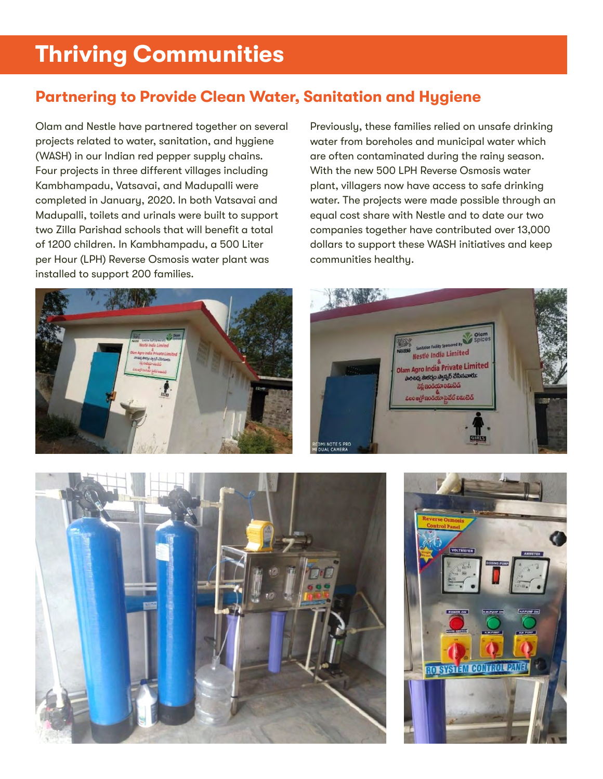## **Thriving Communities**

### **Partnering to Provide Clean Water, Sanitation and Hygiene**

Olam and Nestle have partnered together on several projects related to water, sanitation, and hygiene (WASH) in our Indian red pepper supply chains. Four projects in three different villages including Kambhampadu, Vatsavai, and Madupalli were completed in January, 2020. In both Vatsavai and Madupalli, toilets and urinals were built to support two Zilla Parishad schools that will benefit a total of 1200 children. In Kambhampadu, a 500 Liter per Hour (LPH) Reverse Osmosis water plant was installed to support 200 families.



Previously, these families relied on unsafe drinking water from boreholes and municipal water which are often contaminated during the rainy season. With the new 500 LPH Reverse Osmosis water plant, villagers now have access to safe drinking water. The projects were made possible through an equal cost share with Nestle and to date our two companies together have contributed over 13,000 dollars to support these WASH initiatives and keep communities healthy.